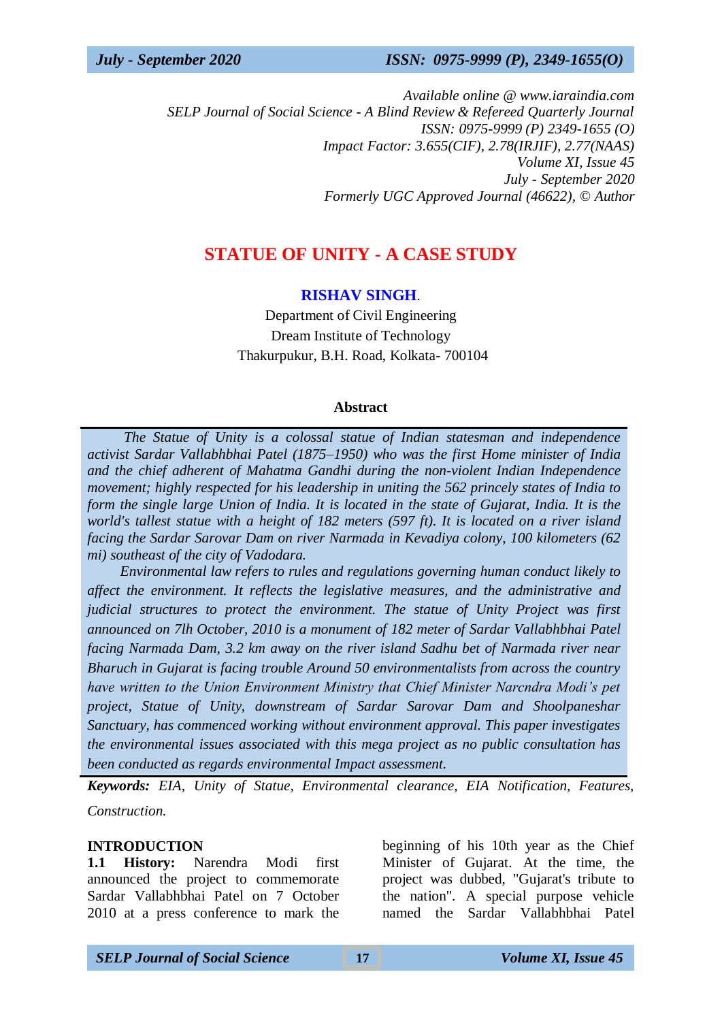*Available online @ www.iaraindia.com SELP Journal of Social Science - A Blind Review & Refereed Quarterly Journal ISSN: 0975-9999 (P) 2349-1655 (O) Impact Factor: 3.655(CIF), 2.78(IRJIF), 2.77(NAAS) Volume XI, Issue 45 July - September 2020 Formerly UGC Approved Journal (46622),* © *Author*

# **STATUE OF UNITY - A CASE STUDY**

### **RISHAV SINGH**.

Department of Civil Engineering Dream Institute of Technology Thakurpukur, B.H. Road, Kolkata- 700104

#### **Abstract**

 *The Statue of Unity is a colossal statue of Indian statesman and independence activist Sardar Vallabhbhai Patel (1875–1950) who was the first Home minister of India and the chief adherent of Mahatma Gandhi during the non-violent Indian Independence movement; highly respected for his leadership in uniting the 562 princely states of India to form the single large Union of India. It is located in the state of Gujarat, India. It is the world's tallest statue with a height of 182 meters (597 ft). It is located on a river island facing the Sardar Sarovar Dam on river Narmada in Kevadiya colony, 100 kilometers (62 mi) southeast of the city of Vadodara.* 

 *Environmental law refers to rules and regulations governing human conduct likely to affect the environment. It reflects the legislative measures, and the administrative and judicial structures to protect the environment. The statue of Unity Project was first announced on 7lh October, 2010 is a monument of 182 meter of Sardar Vallabhbhai Patel facing Narmada Dam, 3.2 km away on the river island Sadhu bet of Narmada river near Bharuch in Gujarat is facing trouble Around 50 environmentalists from across the country have written to the Union Environment Ministry that Chief Minister Narcndra Modi's pet project, Statue of Unity, downstream of Sardar Sarovar Dam and Shoolpaneshar Sanctuary, has commenced working without environment approval. This paper investigates the environmental issues associated with this mega project as no public consultation has been conducted as regards environmental Impact assessment.*

*Keywords: EIA, Unity of Statue, Environmental clearance, EIA Notification, Features, Construction.*

#### **INTRODUCTION**

**1.1 History:** Narendra Modi first announced the project to commemorate Sardar Vallabhbhai Patel on 7 October 2010 at a press conference to mark the

beginning of his 10th year as the Chief Minister of Gujarat. At the time, the project was dubbed, "Gujarat's tribute to the nation". A special purpose vehicle named the Sardar Vallabhbhai Patel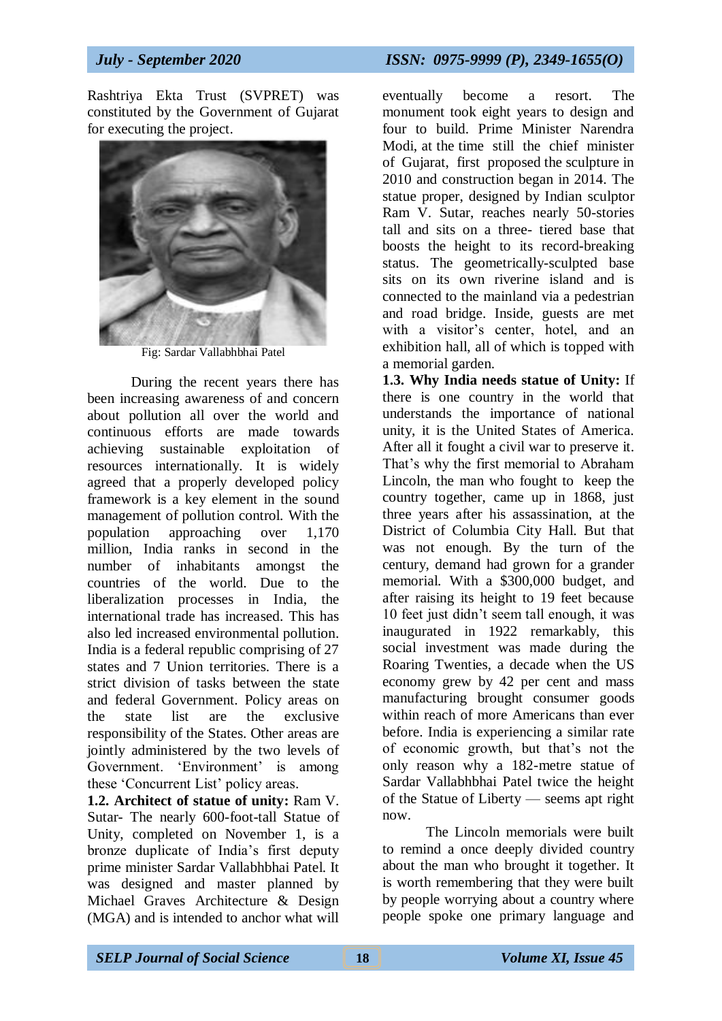Rashtriya Ekta Trust (SVPRET) was constituted by the Government of Gujarat for executing the project.



Fig: Sardar Vallabhbhai Patel

During the recent years there has been increasing awareness of and concern about pollution all over the world and continuous efforts are made towards achieving sustainable exploitation of resources internationally. It is widely agreed that a properly developed policy framework is a key element in the sound management of pollution control. With the population approaching over 1,170 million, India ranks in second in the number of inhabitants amongst the countries of the world. Due to the liberalization processes in India, the international trade has increased. This has also led increased environmental pollution. India is a federal republic comprising of 27 states and 7 Union territories. There is a strict division of tasks between the state and federal Government. Policy areas on the state list are the exclusive responsibility of the States. Other areas are jointly administered by the two levels of Government. 'Environment' is among these 'Concurrent List' policy areas.

**1.2. Architect of statue of unity:** Ram V. Sutar- The nearly 600-foot-tall Statue of Unity, completed on November 1, is a bronze duplicate of India's first deputy prime minister Sardar Vallabhbhai Patel. It was designed and master planned by Michael Graves Architecture & Design (MGA) and is intended to anchor what will

eventually become a resort. The monument took eight years to design and four to build. Prime Minister Narendra Modi, at the time still the chief minister of Gujarat, first proposed the sculpture in 2010 and construction began in 2014. The statue proper, designed by Indian sculptor Ram V. Sutar, reaches nearly 50-stories tall and sits on a three- tiered base that boosts the height to its record-breaking status. The geometrically-sculpted base sits on its own riverine island and is connected to the mainland via a pedestrian and road bridge. Inside, guests are met with a visitor's center, hotel, and an exhibition hall, all of which is topped with a memorial garden.

**1.3. Why India needs statue of Unity:** If there is one country in the world that understands the importance of national unity, it is the United States of America. After all it fought a civil war to preserve it. That's why the first memorial to Abraham Lincoln, the man who fought to keep the country together, came up in 1868, just three years after his assassination, at the District of Columbia City Hall. But that was not enough. By the turn of the century, demand had grown for a grander memorial. With a \$300,000 budget, and after raising its height to 19 feet because 10 feet just didn't seem tall enough, it was inaugurated in 1922 remarkably, this social investment was made during the Roaring Twenties, a decade when the US economy grew by 42 per cent and mass manufacturing brought consumer goods within reach of more Americans than ever before. India is experiencing a similar rate of economic growth, but that's not the only reason why a 182-metre statue of Sardar Vallabhbhai Patel twice the height of the Statue of Liberty — seems apt right now.

The Lincoln memorials were built to remind a once deeply divided country about the man who brought it together. It is worth remembering that they were built by people worrying about a country where people spoke one primary language and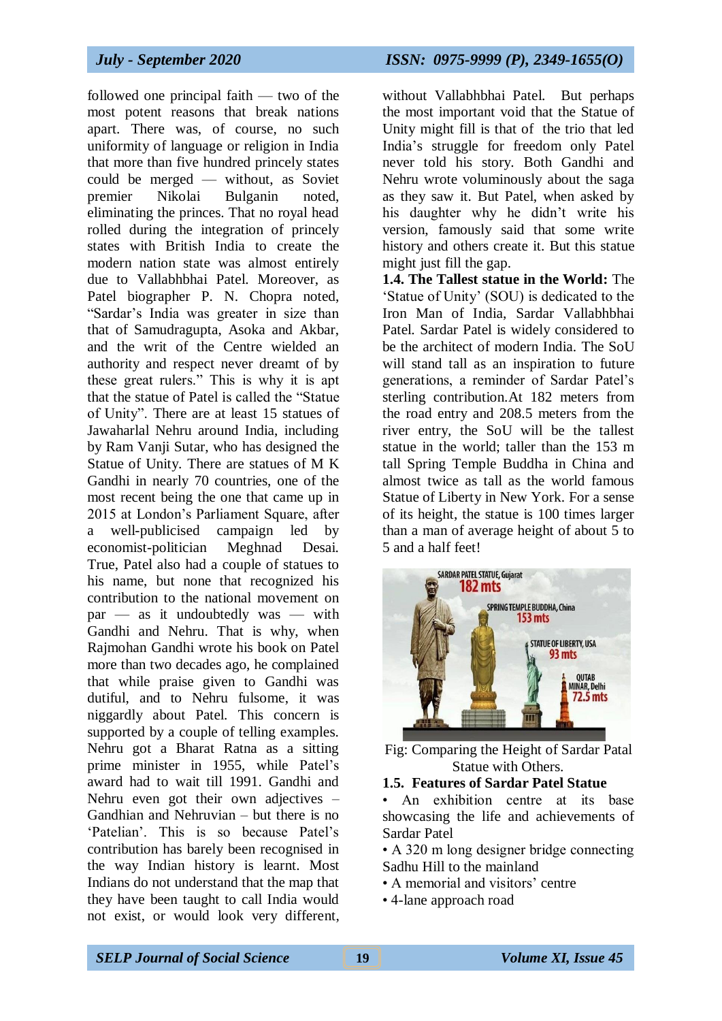followed one principal faith — two of the most potent reasons that break nations apart. There was, of course, no such uniformity of language or religion in India that more than five hundred princely states could be merged — without, as Soviet premier Nikolai Bulganin noted, eliminating the princes. That no royal head rolled during the integration of princely states with British India to create the modern nation state was almost entirely due to Vallabhbhai Patel. Moreover, as Patel biographer P. N. Chopra noted, "Sardar's India was greater in size than that of Samudragupta, Asoka and Akbar, and the writ of the Centre wielded an authority and respect never dreamt of by these great rulers." This is why it is apt that the statue of Patel is called the "Statue of Unity". There are at least 15 statues of Jawaharlal Nehru around India, including by Ram Vanji Sutar, who has designed the Statue of Unity. There are statues of M K Gandhi in nearly 70 countries, one of the most recent being the one that came up in 2015 at London's Parliament Square, after a well-publicised campaign led by economist-politician Meghnad Desai. True, Patel also had a couple of statues to his name, but none that recognized his contribution to the national movement on par — as it undoubtedly was — with Gandhi and Nehru. That is why, when Rajmohan Gandhi wrote his book on Patel more than two decades ago, he complained that while praise given to Gandhi was dutiful, and to Nehru fulsome, it was niggardly about Patel. This concern is supported by a couple of telling examples. Nehru got a Bharat Ratna as a sitting prime minister in 1955, while Patel's award had to wait till 1991. Gandhi and Nehru even got their own adjectives – Gandhian and Nehruvian – but there is no 'Patelian'. This is so because Patel's contribution has barely been recognised in the way Indian history is learnt. Most Indians do not understand that the map that they have been taught to call India would not exist, or would look very different,

without Vallabhbhai Patel. But perhaps the most important void that the Statue of Unity might fill is that of the trio that led India's struggle for freedom only Patel never told his story. Both Gandhi and Nehru wrote voluminously about the saga as they saw it. But Patel, when asked by his daughter why he didn't write his version, famously said that some write history and others create it. But this statue might just fill the gap.

**1.4. The Tallest statue in the World:** The 'Statue of Unity' (SOU) is dedicated to the Iron Man of India, Sardar Vallabhbhai Patel. Sardar Patel is widely considered to be the architect of modern India. The SoU will stand tall as an inspiration to future generations, a reminder of Sardar Patel's sterling contribution.At 182 meters from the road entry and 208.5 meters from the river entry, the SoU will be the tallest statue in the world; taller than the 153 m tall Spring Temple Buddha in China and almost twice as tall as the world famous Statue of Liberty in New York. For a sense of its height, the statue is 100 times larger than a man of average height of about 5 to 5 and a half feet!



Fig: Comparing the Height of Sardar Patal Statue with Others.

#### **1.5. Features of Sardar Patel Statue**

- An exhibition centre at its base showcasing the life and achievements of Sardar Patel
- A 320 m long designer bridge connecting Sadhu Hill to the mainland
- A memorial and visitors' centre
- 4-lane approach road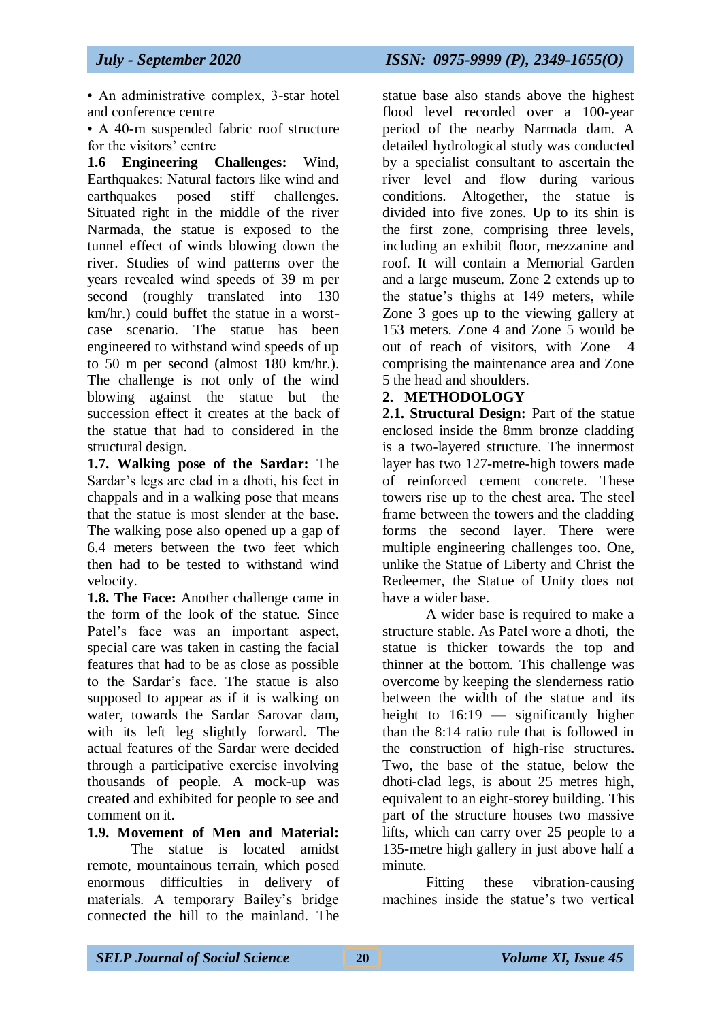• An administrative complex, 3-star hotel and conference centre

• A 40-m suspended fabric roof structure for the visitors' centre

**1.6 Engineering Challenges:** Wind, Earthquakes: Natural factors like wind and earthquakes posed stiff challenges. Situated right in the middle of the river Narmada, the statue is exposed to the tunnel effect of winds blowing down the river. Studies of wind patterns over the years revealed wind speeds of 39 m per second (roughly translated into 130 km/hr.) could buffet the statue in a worstcase scenario. The statue has been engineered to withstand wind speeds of up to 50 m per second (almost 180 km/hr.). The challenge is not only of the wind blowing against the statue but the succession effect it creates at the back of the statue that had to considered in the structural design.

**1.7. Walking pose of the Sardar:** The Sardar's legs are clad in a dhoti, his feet in chappals and in a walking pose that means that the statue is most slender at the base. The walking pose also opened up a gap of 6.4 meters between the two feet which then had to be tested to withstand wind velocity.

**1.8. The Face:** Another challenge came in the form of the look of the statue. Since Patel's face was an important aspect, special care was taken in casting the facial features that had to be as close as possible to the Sardar's face. The statue is also supposed to appear as if it is walking on water, towards the Sardar Sarovar dam, with its left leg slightly forward. The actual features of the Sardar were decided through a participative exercise involving thousands of people. A mock-up was created and exhibited for people to see and comment on it.

# **1.9. Movement of Men and Material:**

The statue is located amidst remote, mountainous terrain, which posed enormous difficulties in delivery of materials. A temporary Bailey's bridge connected the hill to the mainland. The

statue base also stands above the highest flood level recorded over a 100-year period of the nearby Narmada dam. A detailed hydrological study was conducted by a specialist consultant to ascertain the river level and flow during various conditions. Altogether, the statue is divided into five zones. Up to its shin is the first zone, comprising three levels, including an exhibit floor, mezzanine and roof. It will contain a Memorial Garden and a large museum. Zone 2 extends up to the statue's thighs at 149 meters, while Zone 3 goes up to the viewing gallery at 153 meters. Zone 4 and Zone 5 would be out of reach of visitors, with Zone 4 comprising the maintenance area and Zone 5 the head and shoulders.

### **2. METHODOLOGY**

**2.1. Structural Design:** Part of the statue enclosed inside the 8mm bronze cladding is a two-layered structure. The innermost layer has two 127-metre-high towers made of reinforced cement concrete. These towers rise up to the chest area. The steel frame between the towers and the cladding forms the second layer. There were multiple engineering challenges too. One, unlike the Statue of Liberty and Christ the Redeemer, the Statue of Unity does not have a wider base.

A wider base is required to make a structure stable. As Patel wore a dhoti, the statue is thicker towards the top and thinner at the bottom. This challenge was overcome by keeping the slenderness ratio between the width of the statue and its height to  $16:19$  — significantly higher than the 8:14 ratio rule that is followed in the construction of high-rise structures. Two, the base of the statue, below the dhoti-clad legs, is about 25 metres high, equivalent to an eight-storey building. This part of the structure houses two massive lifts, which can carry over 25 people to a 135-metre high gallery in just above half a minute.

Fitting these vibration-causing machines inside the statue's two vertical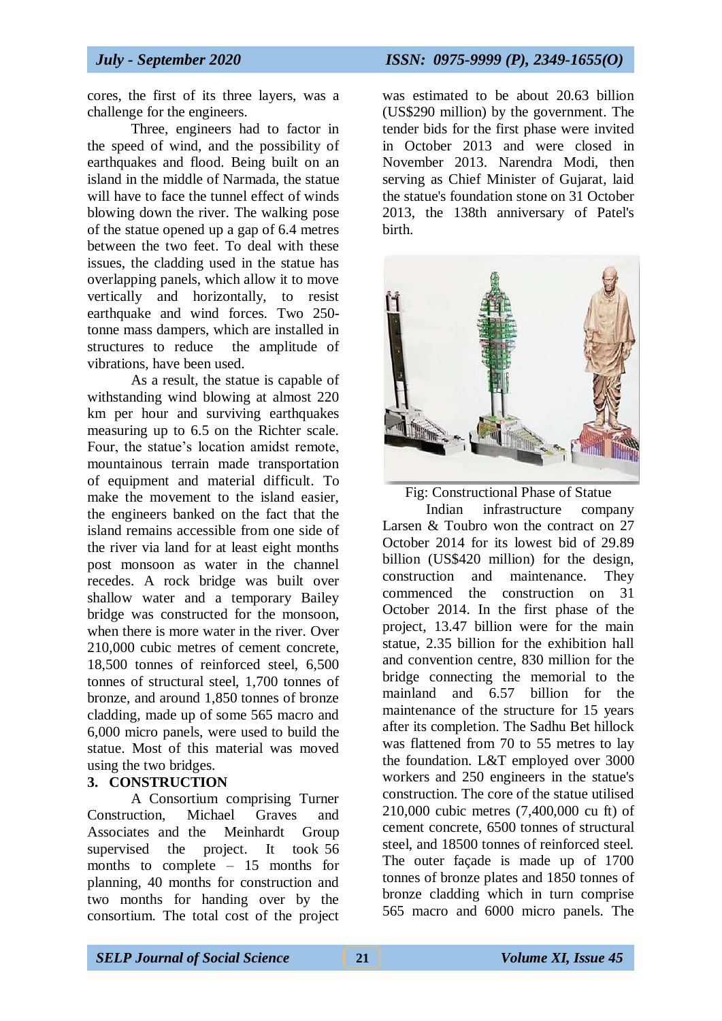cores, the first of its three layers, was a challenge for the engineers.

Three, engineers had to factor in the speed of wind, and the possibility of earthquakes and flood. Being built on an island in the middle of Narmada, the statue will have to face the tunnel effect of winds blowing down the river. The walking pose of the statue opened up a gap of 6.4 metres between the two feet. To deal with these issues, the cladding used in the statue has overlapping panels, which allow it to move vertically and horizontally, to resist earthquake and wind forces. Two 250 tonne mass dampers, which are installed in structures to reduce the amplitude of vibrations, have been used.

As a result, the statue is capable of withstanding wind blowing at almost 220 km per hour and surviving earthquakes measuring up to 6.5 on the Richter scale. Four, the statue's location amidst remote, mountainous terrain made transportation of equipment and material difficult. To make the movement to the island easier, the engineers banked on the fact that the island remains accessible from one side of the river via land for at least eight months post monsoon as water in the channel recedes. A rock bridge was built over shallow water and a temporary Bailey bridge was constructed for the monsoon, when there is more water in the river. Over 210,000 cubic metres of cement concrete, 18,500 tonnes of reinforced steel, 6,500 tonnes of structural steel, 1,700 tonnes of bronze, and around 1,850 tonnes of bronze cladding, made up of some 565 macro and 6,000 micro panels, were used to build the statue. Most of this material was moved using the two bridges.

### **3. CONSTRUCTION**

A Consortium comprising Turner Construction, Michael Graves and Associates and the Meinhardt Group supervised the project. It took 56 months to complete – 15 months for planning, 40 months for construction and two months for handing over by the consortium. The total cost of the project

was estimated to be about 20.63 billion (US\$290 million) by the government. The tender bids for the first phase were invited in October 2013 and were closed in November 2013. Narendra Modi, then serving as Chief Minister of Gujarat, laid the statue's foundation stone on 31 October 2013, the 138th anniversary of Patel's birth.



Fig: Constructional Phase of Statue

Indian infrastructure company Larsen & Toubro won the contract on 27 October 2014 for its lowest bid of 29.89 billion (US\$420 million) for the design, construction and maintenance. They commenced the construction on 31 October 2014. In the first phase of the project, 13.47 billion were for the main statue, 2.35 billion for the exhibition hall and convention centre, 830 million for the bridge connecting the memorial to the mainland and 6.57 billion for the maintenance of the structure for 15 years after its completion. The Sadhu Bet hillock was flattened from 70 to 55 metres to lay the foundation. L&T employed over 3000 workers and 250 engineers in the statue's construction. The core of the statue utilised 210,000 cubic metres (7,400,000 cu ft) of cement concrete, 6500 tonnes of structural steel, and 18500 tonnes of reinforced steel. The outer façade is made up of 1700 tonnes of bronze plates and 1850 tonnes of bronze cladding which in turn comprise 565 macro and 6000 micro panels. The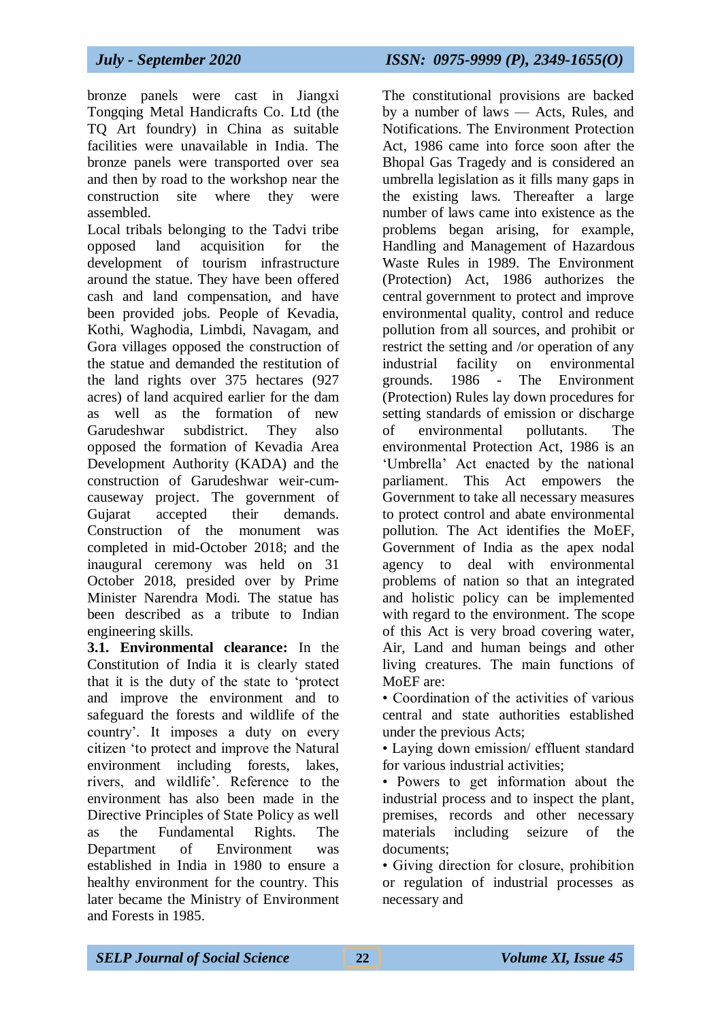bronze panels were cast in Jiangxi Tongqing Metal Handicrafts Co. Ltd (the TQ Art foundry) in China as suitable facilities were unavailable in India. The bronze panels were transported over sea and then by road to the workshop near the construction site where they were assembled.

Local tribals belonging to the Tadvi tribe opposed land acquisition for the development of tourism infrastructure around the statue. They have been offered cash and land compensation, and have been provided jobs. People of Kevadia, Kothi, Waghodia, Limbdi, Navagam, and Gora villages opposed the construction of the statue and demanded the restitution of the land rights over 375 hectares (927 acres) of land acquired earlier for the dam as well as the formation of new Garudeshwar subdistrict. They also opposed the formation of Kevadia Area Development Authority (KADA) and the construction of Garudeshwar weir-cumcauseway project. The government of Gujarat accepted their demands. Construction of the monument was completed in mid-October 2018; and the inaugural ceremony was held on 31 October 2018, presided over by Prime Minister Narendra Modi. The statue has been described as a tribute to Indian engineering skills.

**3.1. Environmental clearance:** In the Constitution of India it is clearly stated that it is the duty of the state to 'protect and improve the environment and to safeguard the forests and wildlife of the country'. It imposes a duty on every citizen 'to protect and improve the Natural environment including forests, lakes, rivers, and wildlife'. Reference to the environment has also been made in the Directive Principles of State Policy as well as the Fundamental Rights. The Department of Environment was established in India in 1980 to ensure a healthy environment for the country. This later became the Ministry of Environment and Forests in 1985.

The constitutional provisions are backed by a number of laws — Acts, Rules, and Notifications. The Environment Protection Act, 1986 came into force soon after the Bhopal Gas Tragedy and is considered an umbrella legislation as it fills many gaps in the existing laws. Thereafter a large number of laws came into existence as the problems began arising, for example, Handling and Management of Hazardous Waste Rules in 1989. The Environment (Protection) Act, 1986 authorizes the central government to protect and improve environmental quality, control and reduce pollution from all sources, and prohibit or restrict the setting and /or operation of any industrial facility on environmental grounds. 1986 - The Environment (Protection) Rules lay down procedures for setting standards of emission or discharge of environmental pollutants. The environmental Protection Act, 1986 is an 'Umbrella' Act enacted by the national parliament. This Act empowers the Government to take all necessary measures to protect control and abate environmental pollution. The Act identifies the MoEF, Government of India as the apex nodal agency to deal with environmental problems of nation so that an integrated and holistic policy can be implemented with regard to the environment. The scope of this Act is very broad covering water, Air, Land and human beings and other living creatures. The main functions of MoEF are:

• Coordination of the activities of various central and state authorities established under the previous Acts;

• Laying down emission/ effluent standard for various industrial activities;

• Powers to get information about the industrial process and to inspect the plant, premises, records and other necessary materials including seizure of the documents;

• Giving direction for closure, prohibition or regulation of industrial processes as necessary and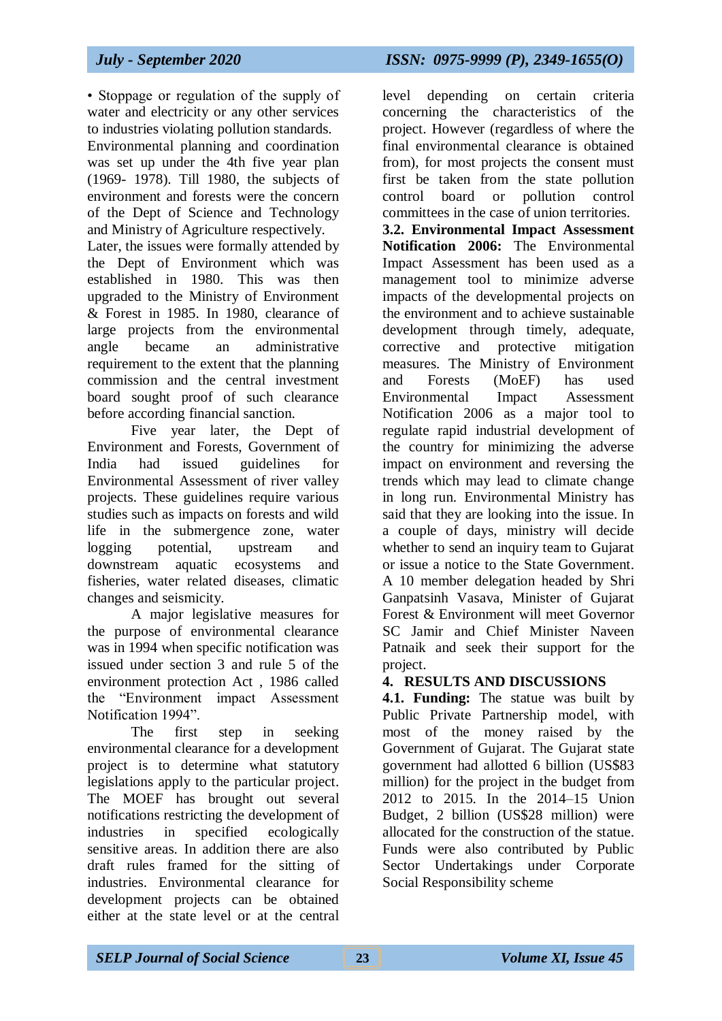# *July - September 2020 ISSN: 0975-9999 (P), 2349-1655(O)*

• Stoppage or regulation of the supply of water and electricity or any other services to industries violating pollution standards.

Environmental planning and coordination was set up under the 4th five year plan (1969- 1978). Till 1980, the subjects of environment and forests were the concern of the Dept of Science and Technology and Ministry of Agriculture respectively.

Later, the issues were formally attended by the Dept of Environment which was established in 1980. This was then upgraded to the Ministry of Environment & Forest in 1985. In 1980, clearance of large projects from the environmental angle became an administrative requirement to the extent that the planning commission and the central investment board sought proof of such clearance before according financial sanction.

Five year later, the Dept of Environment and Forests, Government of India had issued guidelines for Environmental Assessment of river valley projects. These guidelines require various studies such as impacts on forests and wild life in the submergence zone, water logging potential, upstream and downstream aquatic ecosystems and fisheries, water related diseases, climatic changes and seismicity.

A major legislative measures for the purpose of environmental clearance was in 1994 when specific notification was issued under section 3 and rule 5 of the environment protection Act , 1986 called the "Environment impact Assessment Notification 1994".

The first step in seeking environmental clearance for a development project is to determine what statutory legislations apply to the particular project. The MOEF has brought out several notifications restricting the development of industries in specified ecologically sensitive areas. In addition there are also draft rules framed for the sitting of industries. Environmental clearance for development projects can be obtained either at the state level or at the central

level depending on certain criteria concerning the characteristics of the project. However (regardless of where the final environmental clearance is obtained from), for most projects the consent must first be taken from the state pollution control board or pollution control committees in the case of union territories. **3.2. Environmental Impact Assessment Notification 2006:** The Environmental Impact Assessment has been used as a management tool to minimize adverse impacts of the developmental projects on the environment and to achieve sustainable development through timely, adequate, corrective and protective mitigation measures. The Ministry of Environment and Forests (MoEF) has used Environmental Impact Assessment Notification 2006 as a major tool to regulate rapid industrial development of the country for minimizing the adverse impact on environment and reversing the trends which may lead to climate change in long run. Environmental Ministry has said that they are looking into the issue. In a couple of days, ministry will decide whether to send an inquiry team to Gujarat or issue a notice to the State Government. A 10 member delegation headed by Shri Ganpatsinh Vasava, Minister of Gujarat Forest & Environment will meet Governor SC Jamir and Chief Minister Naveen Patnaik and seek their support for the project.

### **4. RESULTS AND DISCUSSIONS**

**4.1. Funding:** The statue was built by Public Private Partnership model, with most of the money raised by the Government of Gujarat. The Gujarat state government had allotted 6 billion (US\$83 million) for the project in the budget from 2012 to 2015. In the 2014–15 Union Budget, 2 billion (US\$28 million) were allocated for the construction of the statue. Funds were also contributed by Public Sector Undertakings under Corporate Social Responsibility scheme